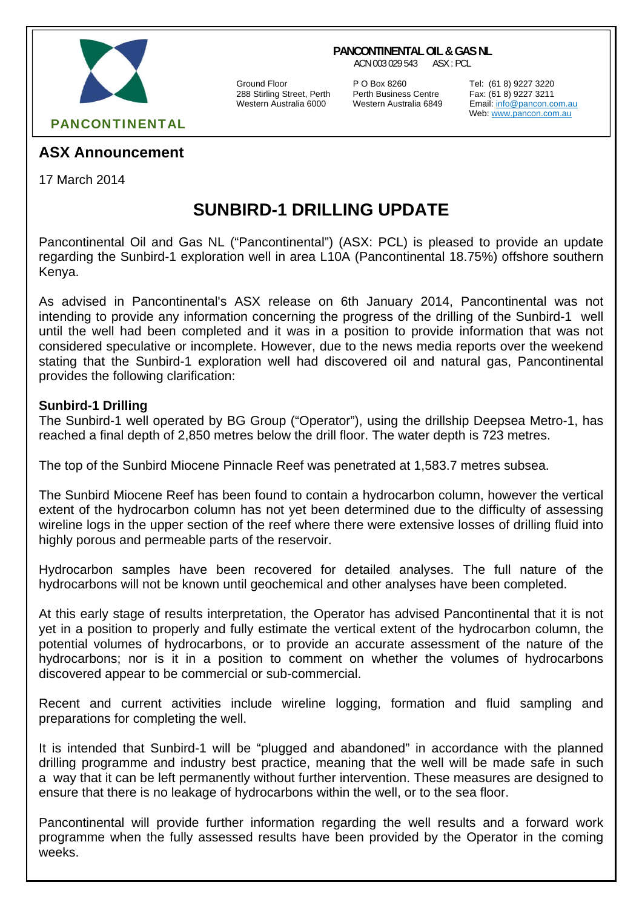

#### **PANCONTINENTAL OIL & GAS NL**

ACN 003 029 543 ASX : PCL

Ground Floor **P O Box 8260** Tel: (61 8) 9227 3220<br>288 Stirling Street, Perth Perth Business Centre Fax: (61 8) 9227 3211 288 Stirling Street, Perth Perth Business Centre Fax: (61 8) 9227 3211

Email: info@pancon.com.au Web: www.pancon.com.au

## **ASX Announcement**

17 March 2014

# **SUNBIRD-1 DRILLING UPDATE**

Pancontinental Oil and Gas NL ("Pancontinental") (ASX: PCL) is pleased to provide an update regarding the Sunbird-1 exploration well in area L10A (Pancontinental 18.75%) offshore southern Kenya.

As advised in Pancontinental's ASX release on 6th January 2014, Pancontinental was not intending to provide any information concerning the progress of the drilling of the Sunbird-1 well until the well had been completed and it was in a position to provide information that was not considered speculative or incomplete. However, due to the news media reports over the weekend stating that the Sunbird-1 exploration well had discovered oil and natural gas, Pancontinental provides the following clarification:

### **Sunbird-1 Drilling**

The Sunbird-1 well operated by BG Group ("Operator"), using the drillship Deepsea Metro-1, has reached a final depth of 2,850 metres below the drill floor. The water depth is 723 metres.

The top of the Sunbird Miocene Pinnacle Reef was penetrated at 1,583.7 metres subsea.

The Sunbird Miocene Reef has been found to contain a hydrocarbon column, however the vertical extent of the hydrocarbon column has not yet been determined due to the difficulty of assessing wireline logs in the upper section of the reef where there were extensive losses of drilling fluid into highly porous and permeable parts of the reservoir.

Hydrocarbon samples have been recovered for detailed analyses. The full nature of the hydrocarbons will not be known until geochemical and other analyses have been completed.

At this early stage of results interpretation, the Operator has advised Pancontinental that it is not yet in a position to properly and fully estimate the vertical extent of the hydrocarbon column, the potential volumes of hydrocarbons, or to provide an accurate assessment of the nature of the hydrocarbons; nor is it in a position to comment on whether the volumes of hydrocarbons discovered appear to be commercial or sub-commercial.

Recent and current activities include wireline logging, formation and fluid sampling and preparations for completing the well.

It is intended that Sunbird-1 will be "plugged and abandoned" in accordance with the planned drilling programme and industry best practice, meaning that the well will be made safe in such a way that it can be left permanently without further intervention. These measures are designed to ensure that there is no leakage of hydrocarbons within the well, or to the sea floor.

Pancontinental will provide further information regarding the well results and a forward work programme when the fully assessed results have been provided by the Operator in the coming weeks.